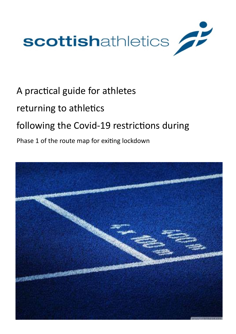

# A practical guide for athletes

### returning to athletics

## following the Covid-19 restrictions during

### Phase 1 of the route map for exiting lockdown

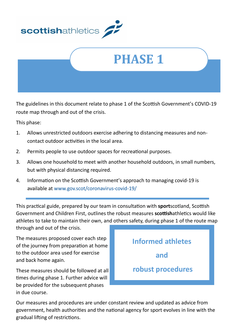



The guidelines in this document relate to phase 1 of the Scottish Government's COVID-19 route map through and out of the crisis.

This phase:

- 1. Allows unrestricted outdoors exercise adhering to distancing measures and noncontact outdoor activities in the local area.
- 2. Permits people to use outdoor spaces for recreational purposes.
- 3. Allows one household to meet with another household outdoors, in small numbers, but with physical distancing required.
- 4. Information on the Scottish Government's approach to managing covid-19 is available at [www.gov.scot/coronavirus](http://www.gov.scot/coronavirus-covid-19/)-covid-19/

This practical guide, prepared by our team in consultation with **sport**scotland, Scottish Government and Children First, outlines the robust measures **scottish**athletics would like athletes to take to maintain their own, and others safety, during phase 1 of the route map through and out of the crisis.

The measures proposed cover each step of the journey from preparation at home to the outdoor area used for exercise and back home again.

These measures should be followed at all times during phase 1. Further advice will be provided for the subsequent phases in due course.



Our measures and procedures are under constant review and updated as advice from government, health authorities and the national agency for sport evolves in line with the gradual lifting of restrictions.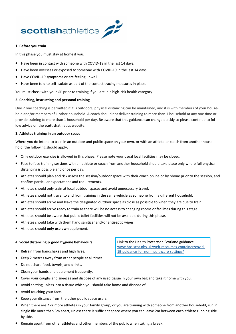

#### **1. Before you train**

In this phase you must stay at home if you:

- Have been in contact with someone with COVID-19 in the last 14 days.
- Have been overseas or exposed to someone with COVID-19 in the last 14 days.
- Have COVID-19 symptoms or are feeling unwell.
- Have been told to self-isolate as part of the contact tracing measures in place.

You must check with your GP prior to training if you are in a high-risk health category.

#### **2. Coaching, instructing and personal training**

One 2 one coaching is permitted if it is outdoors, physical distancing can be maintained, and it is with members of your household and/or members of 1 other household. A coach should not deliver training to more than 1 household at any one time or provide training to more than 1 household per day. Be aware that this guidance can change quickly so please continue to follow advice on the **scottish**athletics website.

#### **3. Athletes training in an outdoor space**

Where you do intend to train in an outdoor and public space on your own, or with an athlete or coach from another household, the following should apply:

- Only outdoor exercise is allowed in this phase. Please note your usual local facilities may be closed.
- Face to face training sessions with an athlete or coach from another household should take place only where full physical distancing is possible and once per day.
- Athletes should plan and risk assess the session/outdoor space with their coach online or by phone prior to the session, and confirm particular expectations and requirements.
- Athletes should only train at local outdoor spaces and avoid unnecessary travel.
- Athletes should not travel to and from training in the same vehicle as someone from a different household.
- Athletes should arrive and leave the designated outdoor space as close as possible to when they are due to train.
- Athletes should arrive ready to train as there will be no access to changing rooms or facilities during this stage.
- Athletes should be aware that public toilet facilities will not be available during this phase.
- Athletes should take with them hand sanitizer and/or antiseptic wipes.
- Athletes should **only use own** equipment.

#### **4. Social distancing & good hygiene behaviours**

- Refrain from handshakes and high fives.
- Keep 2 metres away from other people at all times.
- Do not share food, towels, and drinks.
- Clean your hands and equipment frequently.
- Cover your coughs and sneezes and dispose of any used tissue in your own bag and take it home with you.
- Avoid spitting unless into a tissue which you should take home and dispose of.
- Avoid touching your face.
- Keep your distance from the other public space users.
- When there are 2 or more athletes in your family group, or you are training with someone from another household, run in single file more than 5m apart, unless there is sufficient space where you can leave 2m between each athlete running side by side.
- Remain apart from other athletes and other members of the public when taking a break.

Link to the Health Protection Scotland guidance [www.hps.scot.nhs.uk/web](http://www.hps.scot.nhs.uk/web-resources-container/covid-19-guidance-for-non-healthcare-settings/)-resources-container/covid-19-guidance-for-non-[healthcare](http://www.hps.scot.nhs.uk/web-resources-container/covid-19-guidance-for-non-healthcare-settings/)-settings/